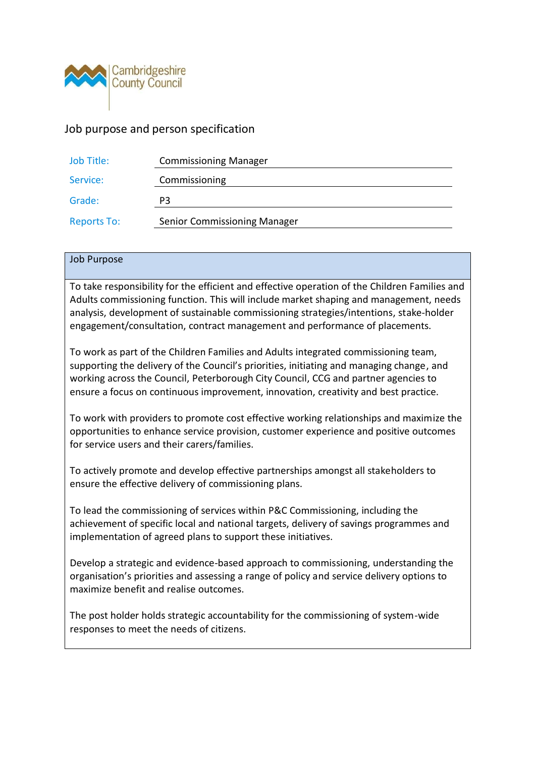

# Job purpose and person specification

| Job Title:         | <b>Commissioning Manager</b>        |
|--------------------|-------------------------------------|
| Service:           | Commissioning                       |
| Grade:             | P3                                  |
| <b>Reports To:</b> | <b>Senior Commissioning Manager</b> |

#### Job Purpose

To take responsibility for the efficient and effective operation of the Children Families and Adults commissioning function. This will include market shaping and management, needs analysis, development of sustainable commissioning strategies/intentions, stake-holder engagement/consultation, contract management and performance of placements.

To work as part of the Children Families and Adults integrated commissioning team, supporting the delivery of the Council's priorities, initiating and managing change, and working across the Council, Peterborough City Council, CCG and partner agencies to ensure a focus on continuous improvement, innovation, creativity and best practice.

To work with providers to promote cost effective working relationships and maximize the opportunities to enhance service provision, customer experience and positive outcomes for service users and their carers/families.

To actively promote and develop effective partnerships amongst all stakeholders to ensure the effective delivery of commissioning plans.

To lead the commissioning of services within P&C Commissioning, including the achievement of specific local and national targets, delivery of savings programmes and implementation of agreed plans to support these initiatives.

Develop a strategic and evidence-based approach to commissioning, understanding the organisation's priorities and assessing a range of policy and service delivery options to maximize benefit and realise outcomes.

The post holder holds strategic accountability for the commissioning of system-wide responses to meet the needs of citizens.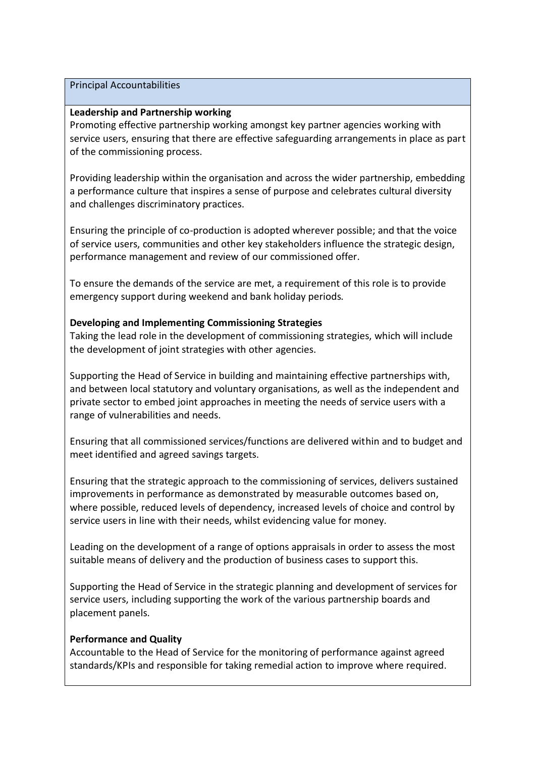#### Principal Accountabilities

### **Leadership and Partnership working**

Promoting effective partnership working amongst key partner agencies working with service users, ensuring that there are effective safeguarding arrangements in place as part of the commissioning process.

Providing leadership within the organisation and across the wider partnership, embedding a performance culture that inspires a sense of purpose and celebrates cultural diversity and challenges discriminatory practices.

Ensuring the principle of co-production is adopted wherever possible; and that the voice of service users, communities and other key stakeholders influence the strategic design, performance management and review of our commissioned offer.

To ensure the demands of the service are met, a requirement of this role is to provide emergency support during weekend and bank holiday periods.

# **Developing and Implementing Commissioning Strategies**

Taking the lead role in the development of commissioning strategies, which will include the development of joint strategies with other agencies.

Supporting the Head of Service in building and maintaining effective partnerships with, and between local statutory and voluntary organisations, as well as the independent and private sector to embed joint approaches in meeting the needs of service users with a range of vulnerabilities and needs.

Ensuring that all commissioned services/functions are delivered within and to budget and meet identified and agreed savings targets.

Ensuring that the strategic approach to the commissioning of services, delivers sustained improvements in performance as demonstrated by measurable outcomes based on, where possible, reduced levels of dependency, increased levels of choice and control by service users in line with their needs, whilst evidencing value for money.

Leading on the development of a range of options appraisals in order to assess the most suitable means of delivery and the production of business cases to support this.

Supporting the Head of Service in the strategic planning and development of services for service users, including supporting the work of the various partnership boards and placement panels.

# **Performance and Quality**

Accountable to the Head of Service for the monitoring of performance against agreed standards/KPIs and responsible for taking remedial action to improve where required.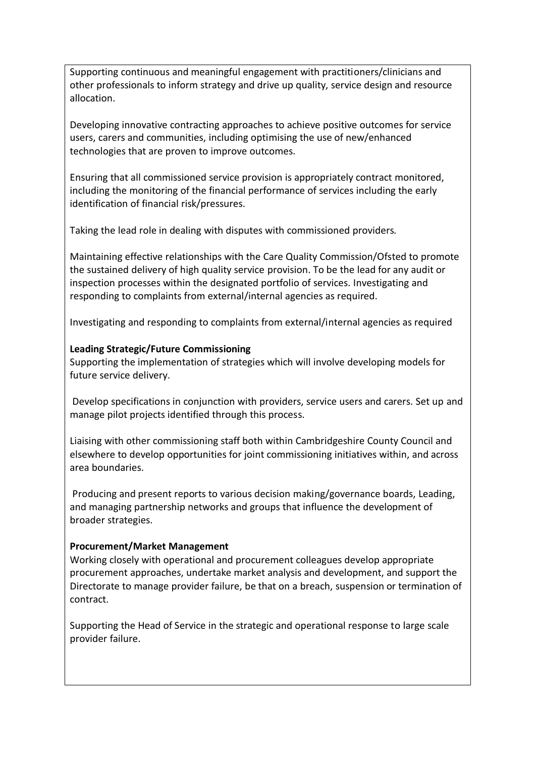Supporting continuous and meaningful engagement with practitioners/clinicians and other professionals to inform strategy and drive up quality, service design and resource allocation.

Developing innovative contracting approaches to achieve positive outcomes for service users, carers and communities, including optimising the use of new/enhanced technologies that are proven to improve outcomes.

Ensuring that all commissioned service provision is appropriately contract monitored, including the monitoring of the financial performance of services including the early identification of financial risk/pressures.

Taking the lead role in dealing with disputes with commissioned providers.

Maintaining effective relationships with the Care Quality Commission/Ofsted to promote the sustained delivery of high quality service provision. To be the lead for any audit or inspection processes within the designated portfolio of services. Investigating and responding to complaints from external/internal agencies as required.

Investigating and responding to complaints from external/internal agencies as required

# **Leading Strategic/Future Commissioning**

Supporting the implementation of strategies which will involve developing models for future service delivery.

Develop specifications in conjunction with providers, service users and carers. Set up and manage pilot projects identified through this process.

Liaising with other commissioning staff both within Cambridgeshire County Council and elsewhere to develop opportunities for joint commissioning initiatives within, and across area boundaries.

Producing and present reports to various decision making/governance boards, Leading, and managing partnership networks and groups that influence the development of broader strategies.

# **Procurement/Market Management**

Working closely with operational and procurement colleagues develop appropriate procurement approaches, undertake market analysis and development, and support the Directorate to manage provider failure, be that on a breach, suspension or termination of contract.

Supporting the Head of Service in the strategic and operational response to large scale provider failure.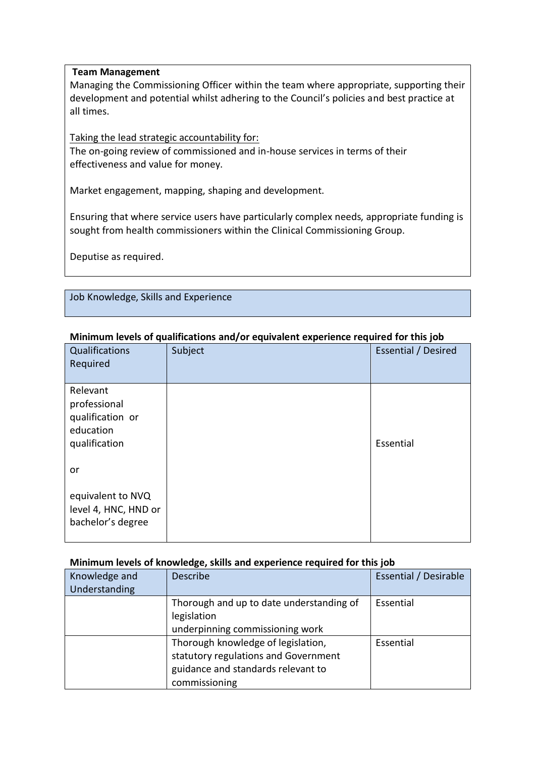# **Team Management**

Managing the Commissioning Officer within the team where appropriate, supporting their development and potential whilst adhering to the Council's policies and best practice at all times.

Taking the lead strategic accountability for:

The on-going review of commissioned and in-house services in terms of their effectiveness and value for money.

Market engagement, mapping, shaping and development.

Ensuring that where service users have particularly complex needs, appropriate funding is sought from health commissioners within the Clinical Commissioning Group.

Deputise as required.

Job Knowledge, Skills and Experience

| 71                                                                         | <i>-1</i> - - - - - - -<br>Τ. | -լ-ու- –                   |
|----------------------------------------------------------------------------|-------------------------------|----------------------------|
| Qualifications<br>Required                                                 | Subject                       | <b>Essential / Desired</b> |
| Relevant<br>professional<br>qualification or<br>education<br>qualification |                               | Essential                  |
| or                                                                         |                               |                            |
| equivalent to NVQ<br>level 4, HNC, HND or<br>bachelor's degree             |                               |                            |

# **Minimum levels of qualifications and/or equivalent experience required for this job**

# **Minimum levels of knowledge, skills and experience required for this job**

| Knowledge and<br>Understanding | <b>Describe</b>                                                                                                                   | Essential / Desirable |
|--------------------------------|-----------------------------------------------------------------------------------------------------------------------------------|-----------------------|
|                                | Thorough and up to date understanding of<br>legislation<br>underpinning commissioning work                                        | Essential             |
|                                | Thorough knowledge of legislation,<br>statutory regulations and Government<br>guidance and standards relevant to<br>commissioning | Essential             |